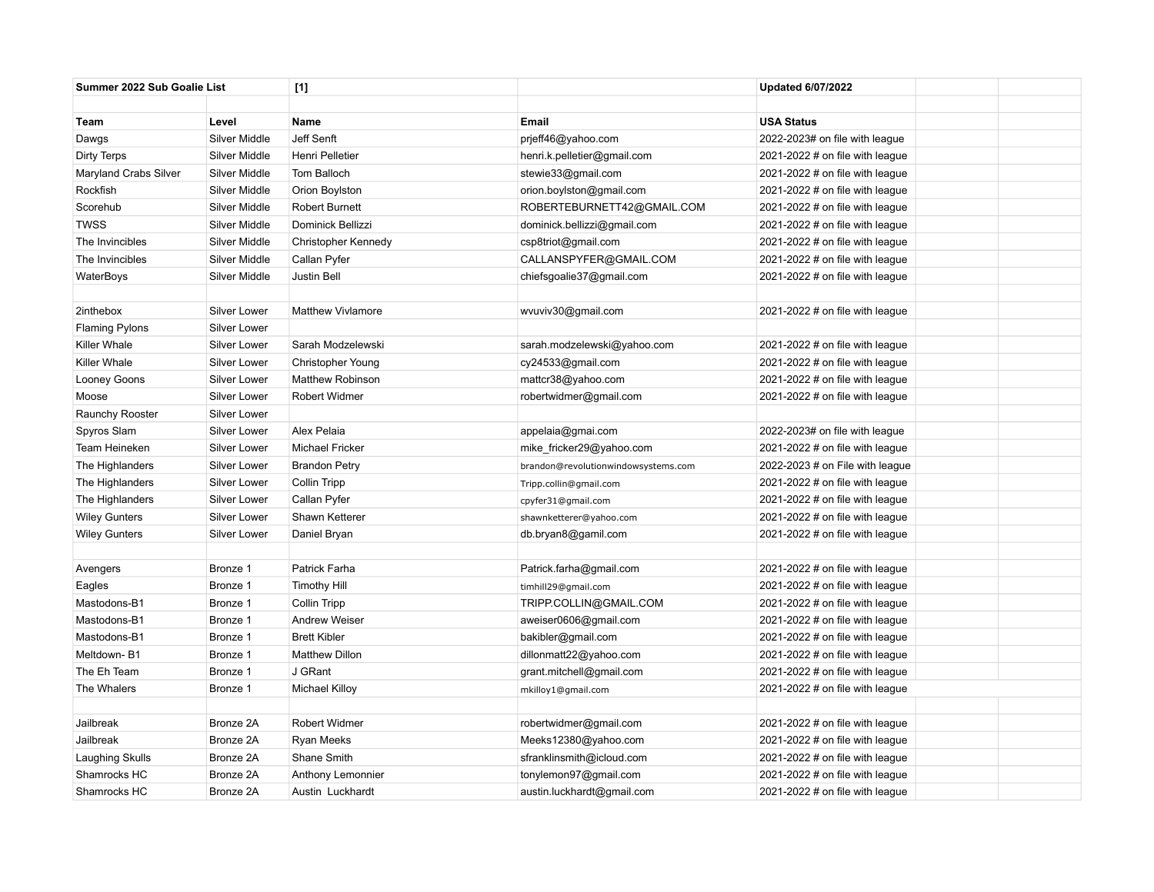| Summer 2022 Sub Goalie List |                     | [1]                      |                                     | <b>Updated 6/07/2022</b>          |  |
|-----------------------------|---------------------|--------------------------|-------------------------------------|-----------------------------------|--|
|                             |                     |                          |                                     |                                   |  |
| Team                        | Level               | Name                     | <b>Email</b>                        | <b>USA Status</b>                 |  |
| Dawgs                       | Silver Middle       | Jeff Senft               | prjeff46@yahoo.com                  | 2022-2023# on file with league    |  |
| Dirty Terps                 | Silver Middle       | Henri Pelletier          | henri.k.pelletier@gmail.com         | 2021-2022 # on file with league   |  |
| Maryland Crabs Silver       | Silver Middle       | Tom Balloch              | stewie33@gmail.com                  | 2021-2022 # on file with league   |  |
| Rockfish                    | Silver Middle       | Orion Boylston           | orion.boylston@gmail.com            | 2021-2022 # on file with league   |  |
| Scorehub                    | Silver Middle       | <b>Robert Burnett</b>    | ROBERTEBURNETT42@GMAIL.COM          | 2021-2022 # on file with league   |  |
| <b>TWSS</b>                 | Silver Middle       | Dominick Bellizzi        | dominick.bellizzi@gmail.com         | 2021-2022 # on file with league   |  |
| The Invincibles             | Silver Middle       | Christopher Kennedy      | csp8triot@gmail.com                 | 2021-2022 # on file with league   |  |
| The Invincibles             | Silver Middle       | Callan Pyfer             | CALLANSPYFER@GMAIL.COM              | 2021-2022 # on file with league   |  |
| WaterBoys                   | Silver Middle       | <b>Justin Bell</b>       | chiefsgoalie37@gmail.com            | 2021-2022 # on file with league   |  |
|                             |                     |                          |                                     |                                   |  |
| 2inthebox                   | Silver Lower        | <b>Matthew Vivlamore</b> | wvuviv30@gmail.com                  | 2021-2022 # on file with league   |  |
| <b>Flaming Pylons</b>       | Silver Lower        |                          |                                     |                                   |  |
| Killer Whale                | Silver Lower        | Sarah Modzelewski        | sarah.modzelewski@yahoo.com         | 2021-2022 $#$ on file with league |  |
| Killer Whale                | Silver Lower        | Christopher Young        | cy24533@gmail.com                   | 2021-2022 $#$ on file with league |  |
| Looney Goons                | Silver Lower        | Matthew Robinson         | mattcr38@yahoo.com                  | 2021-2022 # on file with league   |  |
| Moose                       | Silver Lower        | Robert Widmer            | robertwidmer@gmail.com              | 2021-2022 # on file with league   |  |
| Raunchy Rooster             | <b>Silver Lower</b> |                          |                                     |                                   |  |
| Spyros Slam                 | Silver Lower        | Alex Pelaia              | appelaia@gmai.com                   | 2022-2023# on file with league    |  |
| Team Heineken               | Silver Lower        | <b>Michael Fricker</b>   | mike_fricker29@yahoo.com            | 2021-2022 $#$ on file with league |  |
| The Highlanders             | Silver Lower        | <b>Brandon Petry</b>     | brandon@revolutionwindowsystems.com | 2022-2023 $#$ on File with league |  |
| The Highlanders             | Silver Lower        | Collin Tripp             | Tripp.collin@gmail.com              | 2021-2022 $#$ on file with league |  |
| The Highlanders             | Silver Lower        | Callan Pyfer             | cpyfer31@gmail.com                  | 2021-2022 # on file with league   |  |
| <b>Wiley Gunters</b>        | Silver Lower        | Shawn Ketterer           | shawnketterer@yahoo.com             | 2021-2022 # on file with league   |  |
| <b>Wiley Gunters</b>        | Silver Lower        | Daniel Bryan             | db.bryan8@gamil.com                 | 2021-2022 # on file with league   |  |
|                             |                     |                          |                                     |                                   |  |
| Avengers                    | Bronze 1            | Patrick Farha            | Patrick.farha@gmail.com             | 2021-2022 # on file with league   |  |
| Eagles                      | Bronze 1            | <b>Timothy Hill</b>      | timhill29@gmail.com                 | 2021-2022 # on file with league   |  |
| Mastodons-B1                | Bronze 1            | Collin Tripp             | TRIPP.COLLIN@GMAIL.COM              | 2021-2022 # on file with league   |  |
| Mastodons-B1                | Bronze 1            | <b>Andrew Weiser</b>     | aweiser0606@gmail.com               | 2021-2022 # on file with league   |  |
| Mastodons-B1                | Bronze 1            | <b>Brett Kibler</b>      | bakibler@gmail.com                  | 2021-2022 # on file with league   |  |
| Meltdown-B1                 | Bronze 1            | <b>Matthew Dillon</b>    | dillonmatt22@yahoo.com              | 2021-2022 $#$ on file with league |  |
| The Eh Team                 | Bronze 1            | J GRant                  | grant.mitchell@gmail.com            | 2021-2022 # on file with league   |  |
| The Whalers                 | Bronze 1            | Michael Killoy           | mkilloy1@gmail.com                  | 2021-2022 $#$ on file with league |  |
|                             |                     |                          |                                     |                                   |  |
| Jailbreak                   | Bronze 2A           | Robert Widmer            | robertwidmer@gmail.com              | 2021-2022 # on file with league   |  |
| Jailbreak                   | Bronze 2A           | Ryan Meeks               | Meeks12380@yahoo.com                | 2021-2022 # on file with league   |  |
| Laughing Skulls             | Bronze 2A           | Shane Smith              | sfranklinsmith@icloud.com           | 2021-2022 # on file with league   |  |
| Shamrocks HC                | Bronze 2A           | Anthony Lemonnier        | tonylemon97@gmail.com               | 2021-2022 # on file with league   |  |
| Shamrocks HC                | Bronze 2A           | Austin Luckhardt         | austin.luckhardt@gmail.com          | 2021-2022 # on file with league   |  |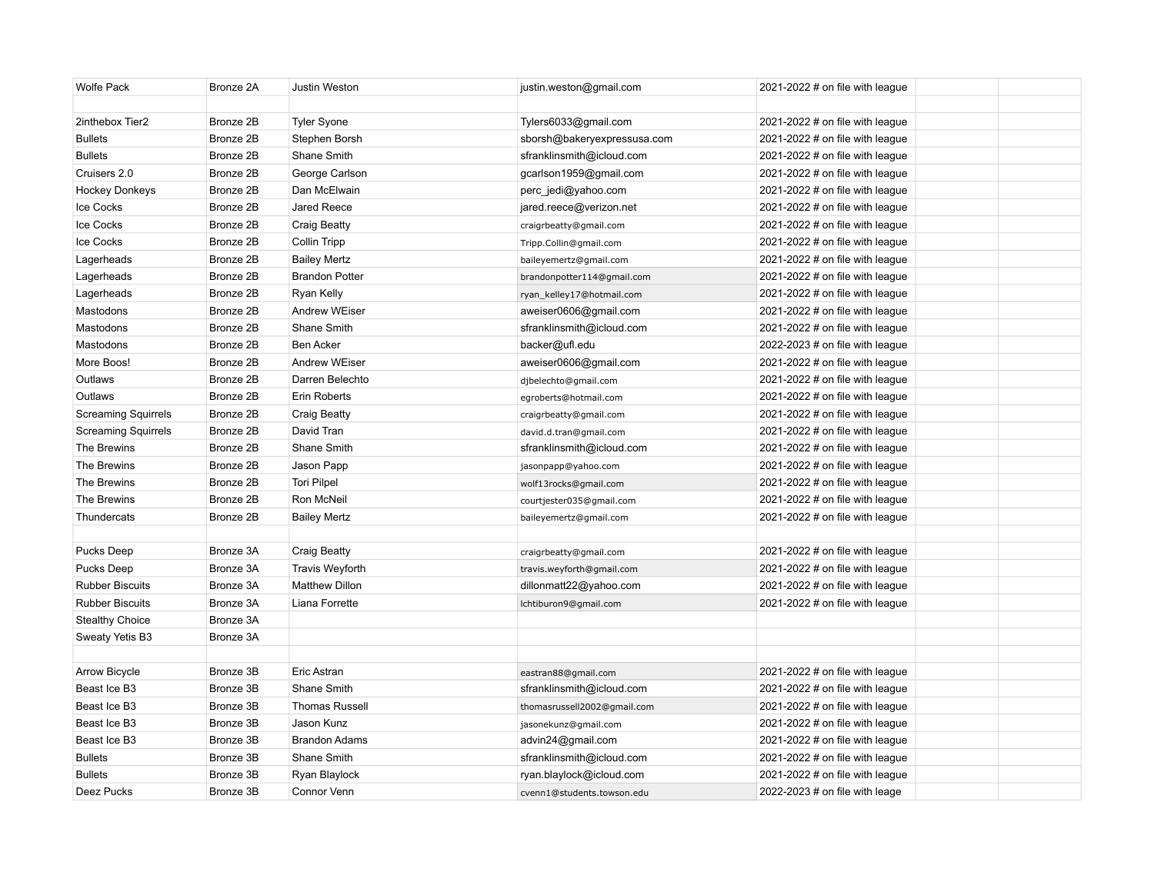| 2inthebox Tier2<br>Bronze 2B<br>Tyler Syone<br>Tylers6033@gmail.com<br>2021-2022 $#$ on file with league<br>Bronze 2B<br><b>Bullets</b><br>Stephen Borsh<br>sborsh@bakeryexpressusa.com<br>2021-2022 # on file with league<br><b>Bullets</b><br>Bronze 2B<br>Shane Smith<br>sfranklinsmith@icloud.com<br>2021-2022 # on file with league<br>Cruisers 2.0<br>Bronze 2B<br>George Carlson<br>gcarlson1959@gmail.com<br>2021-2022 $#$ on file with league<br><b>Hockey Donkeys</b><br>Bronze 2B<br>Dan McElwain<br>perc_jedi@yahoo.com<br>2021-2022 $#$ on file with league<br>Ice Cocks<br>Bronze 2B<br>Jared Reece<br>jared.reece@verizon.net<br>2021-2022 # on file with league<br>Ice Cocks<br>Bronze 2B<br><b>Craig Beatty</b><br>2021-2022 $#$ on file with league<br>craigrbeatty@gmail.com<br>Ice Cocks<br>Bronze 2B<br><b>Collin Tripp</b><br>2021-2022 # on file with league<br>Tripp.Collin@gmail.com<br>Lagerheads<br>Bronze 2B<br><b>Bailey Mertz</b><br>2021-2022 $#$ on file with league<br>baileyemertz@gmail.com<br>Lagerheads<br>Bronze 2B<br><b>Brandon Potter</b><br>2021-2022 # on file with league<br>brandonpotter114@gmail.com<br>Lagerheads<br>Bronze 2B<br>2021-2022 $#$ on file with league<br>Ryan Kelly<br>ryan_kelley17@hotmail.com<br>Mastodons<br>Bronze 2B<br><b>Andrew WEiser</b><br>aweiser0606@gmail.com<br>2021-2022 $#$ on file with league<br>Mastodons<br>Bronze 2B<br>Shane Smith<br>sfranklinsmith@icloud.com<br>2021-2022 $#$ on file with league<br>Mastodons<br>Bronze 2B<br><b>Ben Acker</b><br>backer@ufl.edu<br>2022-2023 $#$ on file with league<br>More Boos!<br>Bronze 2B<br><b>Andrew WEiser</b><br>aweiser0606@gmail.com<br>2021-2022 # on file with league<br>Bronze 2B<br>Darren Belechto<br>Outlaws<br>2021-2022 $\#$ on file with league<br>djbelechto@gmail.com<br>Bronze 2B<br>Outlaws<br>Erin Roberts<br>2021-2022 # on file with league<br>egroberts@hotmail.com<br>Bronze 2B<br><b>Screaming Squirrels</b><br><b>Craig Beatty</b><br>2021-2022 # on file with league<br>craigrbeatty@gmail.com<br>David Tran<br><b>Screaming Squirrels</b><br>Bronze 2B<br>2021-2022 $#$ on file with league<br>david.d.tran@gmail.com<br>Bronze 2B<br>Shane Smith<br>The Brewins<br>sfranklinsmith@icloud.com<br>2021-2022 # on file with league<br>The Brewins<br>Bronze 2B<br>Jason Papp<br>2021-2022 $#$ on file with league<br>jasonpapp@yahoo.com<br>The Brewins<br>Bronze 2B<br><b>Tori Pilpel</b><br>2021-2022 # on file with league<br>wolf13rocks@gmail.com<br>The Brewins<br>Bronze 2B<br>Ron McNeil<br>2021-2022 $#$ on file with league<br>courtjester035@gmail.com<br>Thundercats<br>Bronze 2B<br><b>Bailey Mertz</b><br>2021-2022 # on file with league<br>baileyemertz@gmail.com<br>Pucks Deep<br>Bronze 3A<br><b>Craig Beatty</b><br>2021-2022 $#$ on file with league<br>craigrbeatty@gmail.com<br><b>Pucks Deep</b><br>Bronze 3A<br>Travis Weyforth<br>2021-2022 $#$ on file with league<br>travis.weyforth@gmail.com<br><b>Rubber Biscuits</b><br>Bronze 3A<br><b>Matthew Dillon</b><br>dillonmatt22@yahoo.com<br>2021-2022 $#$ on file with league<br><b>Rubber Biscuits</b><br>Bronze 3A<br>Liana Forrette<br>2021-2022 # on file with league<br>lchtiburon9@gmail.com<br><b>Stealthy Choice</b><br>Bronze 3A<br>Bronze 3A<br>Sweaty Yetis B3<br><b>Arrow Bicycle</b><br>Bronze 3B<br>Eric Astran<br>2021-2022 # on file with league<br>eastran88@gmail.com<br>Beast Ice B3<br>Bronze 3B<br>Shane Smith<br>sfranklinsmith@icloud.com<br>2021-2022 # on file with league<br>Beast Ice B3<br><b>Thomas Russell</b><br>Bronze 3B<br>2021-2022 # on file with league<br>thomasrussell2002@gmail.com<br>Bronze 3B<br>Jason Kunz<br>Beast Ice B3<br>2021-2022 # on file with league<br>jasonekunz@gmail.com<br>Beast Ice B3<br>Bronze 3B<br><b>Brandon Adams</b><br>advin24@gmail.com<br>2021-2022 # on file with league<br><b>Bullets</b><br>Bronze 3B<br>Shane Smith<br>sfranklinsmith@icloud.com<br>2021-2022 # on file with league<br>Bronze 3B<br>2021-2022 # on file with league<br><b>Bullets</b><br>Ryan Blaylock<br>ryan.blaylock@icloud.com | <b>Wolfe Pack</b> | Bronze 2A | <b>Justin Weston</b> | justin.weston@gmail.com    | 2021-2022 $\#$ on file with league |  |
|------------------------------------------------------------------------------------------------------------------------------------------------------------------------------------------------------------------------------------------------------------------------------------------------------------------------------------------------------------------------------------------------------------------------------------------------------------------------------------------------------------------------------------------------------------------------------------------------------------------------------------------------------------------------------------------------------------------------------------------------------------------------------------------------------------------------------------------------------------------------------------------------------------------------------------------------------------------------------------------------------------------------------------------------------------------------------------------------------------------------------------------------------------------------------------------------------------------------------------------------------------------------------------------------------------------------------------------------------------------------------------------------------------------------------------------------------------------------------------------------------------------------------------------------------------------------------------------------------------------------------------------------------------------------------------------------------------------------------------------------------------------------------------------------------------------------------------------------------------------------------------------------------------------------------------------------------------------------------------------------------------------------------------------------------------------------------------------------------------------------------------------------------------------------------------------------------------------------------------------------------------------------------------------------------------------------------------------------------------------------------------------------------------------------------------------------------------------------------------------------------------------------------------------------------------------------------------------------------------------------------------------------------------------------------------------------------------------------------------------------------------------------------------------------------------------------------------------------------------------------------------------------------------------------------------------------------------------------------------------------------------------------------------------------------------------------------------------------------------------------------------------------------------------------------------------------------------------------------------------------------------------------------------------------------------------------------------------------------------------------------------------------------------------------------------------------------------------------------------------------------------------------------------------------------------------------------------------------------------------------------------------------------------------------------------------------------------------------------------------------------------------------------------------------------------------------------------------------------------------------------------------------------------------------------------------------------------------------------------------------------------------------------------------------------------------------------------------------------------------|-------------------|-----------|----------------------|----------------------------|------------------------------------|--|
|                                                                                                                                                                                                                                                                                                                                                                                                                                                                                                                                                                                                                                                                                                                                                                                                                                                                                                                                                                                                                                                                                                                                                                                                                                                                                                                                                                                                                                                                                                                                                                                                                                                                                                                                                                                                                                                                                                                                                                                                                                                                                                                                                                                                                                                                                                                                                                                                                                                                                                                                                                                                                                                                                                                                                                                                                                                                                                                                                                                                                                                                                                                                                                                                                                                                                                                                                                                                                                                                                                                                                                                                                                                                                                                                                                                                                                                                                                                                                                                                                                                                                                                  |                   |           |                      |                            |                                    |  |
|                                                                                                                                                                                                                                                                                                                                                                                                                                                                                                                                                                                                                                                                                                                                                                                                                                                                                                                                                                                                                                                                                                                                                                                                                                                                                                                                                                                                                                                                                                                                                                                                                                                                                                                                                                                                                                                                                                                                                                                                                                                                                                                                                                                                                                                                                                                                                                                                                                                                                                                                                                                                                                                                                                                                                                                                                                                                                                                                                                                                                                                                                                                                                                                                                                                                                                                                                                                                                                                                                                                                                                                                                                                                                                                                                                                                                                                                                                                                                                                                                                                                                                                  |                   |           |                      |                            |                                    |  |
|                                                                                                                                                                                                                                                                                                                                                                                                                                                                                                                                                                                                                                                                                                                                                                                                                                                                                                                                                                                                                                                                                                                                                                                                                                                                                                                                                                                                                                                                                                                                                                                                                                                                                                                                                                                                                                                                                                                                                                                                                                                                                                                                                                                                                                                                                                                                                                                                                                                                                                                                                                                                                                                                                                                                                                                                                                                                                                                                                                                                                                                                                                                                                                                                                                                                                                                                                                                                                                                                                                                                                                                                                                                                                                                                                                                                                                                                                                                                                                                                                                                                                                                  |                   |           |                      |                            |                                    |  |
|                                                                                                                                                                                                                                                                                                                                                                                                                                                                                                                                                                                                                                                                                                                                                                                                                                                                                                                                                                                                                                                                                                                                                                                                                                                                                                                                                                                                                                                                                                                                                                                                                                                                                                                                                                                                                                                                                                                                                                                                                                                                                                                                                                                                                                                                                                                                                                                                                                                                                                                                                                                                                                                                                                                                                                                                                                                                                                                                                                                                                                                                                                                                                                                                                                                                                                                                                                                                                                                                                                                                                                                                                                                                                                                                                                                                                                                                                                                                                                                                                                                                                                                  |                   |           |                      |                            |                                    |  |
|                                                                                                                                                                                                                                                                                                                                                                                                                                                                                                                                                                                                                                                                                                                                                                                                                                                                                                                                                                                                                                                                                                                                                                                                                                                                                                                                                                                                                                                                                                                                                                                                                                                                                                                                                                                                                                                                                                                                                                                                                                                                                                                                                                                                                                                                                                                                                                                                                                                                                                                                                                                                                                                                                                                                                                                                                                                                                                                                                                                                                                                                                                                                                                                                                                                                                                                                                                                                                                                                                                                                                                                                                                                                                                                                                                                                                                                                                                                                                                                                                                                                                                                  |                   |           |                      |                            |                                    |  |
|                                                                                                                                                                                                                                                                                                                                                                                                                                                                                                                                                                                                                                                                                                                                                                                                                                                                                                                                                                                                                                                                                                                                                                                                                                                                                                                                                                                                                                                                                                                                                                                                                                                                                                                                                                                                                                                                                                                                                                                                                                                                                                                                                                                                                                                                                                                                                                                                                                                                                                                                                                                                                                                                                                                                                                                                                                                                                                                                                                                                                                                                                                                                                                                                                                                                                                                                                                                                                                                                                                                                                                                                                                                                                                                                                                                                                                                                                                                                                                                                                                                                                                                  |                   |           |                      |                            |                                    |  |
|                                                                                                                                                                                                                                                                                                                                                                                                                                                                                                                                                                                                                                                                                                                                                                                                                                                                                                                                                                                                                                                                                                                                                                                                                                                                                                                                                                                                                                                                                                                                                                                                                                                                                                                                                                                                                                                                                                                                                                                                                                                                                                                                                                                                                                                                                                                                                                                                                                                                                                                                                                                                                                                                                                                                                                                                                                                                                                                                                                                                                                                                                                                                                                                                                                                                                                                                                                                                                                                                                                                                                                                                                                                                                                                                                                                                                                                                                                                                                                                                                                                                                                                  |                   |           |                      |                            |                                    |  |
|                                                                                                                                                                                                                                                                                                                                                                                                                                                                                                                                                                                                                                                                                                                                                                                                                                                                                                                                                                                                                                                                                                                                                                                                                                                                                                                                                                                                                                                                                                                                                                                                                                                                                                                                                                                                                                                                                                                                                                                                                                                                                                                                                                                                                                                                                                                                                                                                                                                                                                                                                                                                                                                                                                                                                                                                                                                                                                                                                                                                                                                                                                                                                                                                                                                                                                                                                                                                                                                                                                                                                                                                                                                                                                                                                                                                                                                                                                                                                                                                                                                                                                                  |                   |           |                      |                            |                                    |  |
|                                                                                                                                                                                                                                                                                                                                                                                                                                                                                                                                                                                                                                                                                                                                                                                                                                                                                                                                                                                                                                                                                                                                                                                                                                                                                                                                                                                                                                                                                                                                                                                                                                                                                                                                                                                                                                                                                                                                                                                                                                                                                                                                                                                                                                                                                                                                                                                                                                                                                                                                                                                                                                                                                                                                                                                                                                                                                                                                                                                                                                                                                                                                                                                                                                                                                                                                                                                                                                                                                                                                                                                                                                                                                                                                                                                                                                                                                                                                                                                                                                                                                                                  |                   |           |                      |                            |                                    |  |
|                                                                                                                                                                                                                                                                                                                                                                                                                                                                                                                                                                                                                                                                                                                                                                                                                                                                                                                                                                                                                                                                                                                                                                                                                                                                                                                                                                                                                                                                                                                                                                                                                                                                                                                                                                                                                                                                                                                                                                                                                                                                                                                                                                                                                                                                                                                                                                                                                                                                                                                                                                                                                                                                                                                                                                                                                                                                                                                                                                                                                                                                                                                                                                                                                                                                                                                                                                                                                                                                                                                                                                                                                                                                                                                                                                                                                                                                                                                                                                                                                                                                                                                  |                   |           |                      |                            |                                    |  |
|                                                                                                                                                                                                                                                                                                                                                                                                                                                                                                                                                                                                                                                                                                                                                                                                                                                                                                                                                                                                                                                                                                                                                                                                                                                                                                                                                                                                                                                                                                                                                                                                                                                                                                                                                                                                                                                                                                                                                                                                                                                                                                                                                                                                                                                                                                                                                                                                                                                                                                                                                                                                                                                                                                                                                                                                                                                                                                                                                                                                                                                                                                                                                                                                                                                                                                                                                                                                                                                                                                                                                                                                                                                                                                                                                                                                                                                                                                                                                                                                                                                                                                                  |                   |           |                      |                            |                                    |  |
|                                                                                                                                                                                                                                                                                                                                                                                                                                                                                                                                                                                                                                                                                                                                                                                                                                                                                                                                                                                                                                                                                                                                                                                                                                                                                                                                                                                                                                                                                                                                                                                                                                                                                                                                                                                                                                                                                                                                                                                                                                                                                                                                                                                                                                                                                                                                                                                                                                                                                                                                                                                                                                                                                                                                                                                                                                                                                                                                                                                                                                                                                                                                                                                                                                                                                                                                                                                                                                                                                                                                                                                                                                                                                                                                                                                                                                                                                                                                                                                                                                                                                                                  |                   |           |                      |                            |                                    |  |
|                                                                                                                                                                                                                                                                                                                                                                                                                                                                                                                                                                                                                                                                                                                                                                                                                                                                                                                                                                                                                                                                                                                                                                                                                                                                                                                                                                                                                                                                                                                                                                                                                                                                                                                                                                                                                                                                                                                                                                                                                                                                                                                                                                                                                                                                                                                                                                                                                                                                                                                                                                                                                                                                                                                                                                                                                                                                                                                                                                                                                                                                                                                                                                                                                                                                                                                                                                                                                                                                                                                                                                                                                                                                                                                                                                                                                                                                                                                                                                                                                                                                                                                  |                   |           |                      |                            |                                    |  |
|                                                                                                                                                                                                                                                                                                                                                                                                                                                                                                                                                                                                                                                                                                                                                                                                                                                                                                                                                                                                                                                                                                                                                                                                                                                                                                                                                                                                                                                                                                                                                                                                                                                                                                                                                                                                                                                                                                                                                                                                                                                                                                                                                                                                                                                                                                                                                                                                                                                                                                                                                                                                                                                                                                                                                                                                                                                                                                                                                                                                                                                                                                                                                                                                                                                                                                                                                                                                                                                                                                                                                                                                                                                                                                                                                                                                                                                                                                                                                                                                                                                                                                                  |                   |           |                      |                            |                                    |  |
|                                                                                                                                                                                                                                                                                                                                                                                                                                                                                                                                                                                                                                                                                                                                                                                                                                                                                                                                                                                                                                                                                                                                                                                                                                                                                                                                                                                                                                                                                                                                                                                                                                                                                                                                                                                                                                                                                                                                                                                                                                                                                                                                                                                                                                                                                                                                                                                                                                                                                                                                                                                                                                                                                                                                                                                                                                                                                                                                                                                                                                                                                                                                                                                                                                                                                                                                                                                                                                                                                                                                                                                                                                                                                                                                                                                                                                                                                                                                                                                                                                                                                                                  |                   |           |                      |                            |                                    |  |
|                                                                                                                                                                                                                                                                                                                                                                                                                                                                                                                                                                                                                                                                                                                                                                                                                                                                                                                                                                                                                                                                                                                                                                                                                                                                                                                                                                                                                                                                                                                                                                                                                                                                                                                                                                                                                                                                                                                                                                                                                                                                                                                                                                                                                                                                                                                                                                                                                                                                                                                                                                                                                                                                                                                                                                                                                                                                                                                                                                                                                                                                                                                                                                                                                                                                                                                                                                                                                                                                                                                                                                                                                                                                                                                                                                                                                                                                                                                                                                                                                                                                                                                  |                   |           |                      |                            |                                    |  |
|                                                                                                                                                                                                                                                                                                                                                                                                                                                                                                                                                                                                                                                                                                                                                                                                                                                                                                                                                                                                                                                                                                                                                                                                                                                                                                                                                                                                                                                                                                                                                                                                                                                                                                                                                                                                                                                                                                                                                                                                                                                                                                                                                                                                                                                                                                                                                                                                                                                                                                                                                                                                                                                                                                                                                                                                                                                                                                                                                                                                                                                                                                                                                                                                                                                                                                                                                                                                                                                                                                                                                                                                                                                                                                                                                                                                                                                                                                                                                                                                                                                                                                                  |                   |           |                      |                            |                                    |  |
|                                                                                                                                                                                                                                                                                                                                                                                                                                                                                                                                                                                                                                                                                                                                                                                                                                                                                                                                                                                                                                                                                                                                                                                                                                                                                                                                                                                                                                                                                                                                                                                                                                                                                                                                                                                                                                                                                                                                                                                                                                                                                                                                                                                                                                                                                                                                                                                                                                                                                                                                                                                                                                                                                                                                                                                                                                                                                                                                                                                                                                                                                                                                                                                                                                                                                                                                                                                                                                                                                                                                                                                                                                                                                                                                                                                                                                                                                                                                                                                                                                                                                                                  |                   |           |                      |                            |                                    |  |
|                                                                                                                                                                                                                                                                                                                                                                                                                                                                                                                                                                                                                                                                                                                                                                                                                                                                                                                                                                                                                                                                                                                                                                                                                                                                                                                                                                                                                                                                                                                                                                                                                                                                                                                                                                                                                                                                                                                                                                                                                                                                                                                                                                                                                                                                                                                                                                                                                                                                                                                                                                                                                                                                                                                                                                                                                                                                                                                                                                                                                                                                                                                                                                                                                                                                                                                                                                                                                                                                                                                                                                                                                                                                                                                                                                                                                                                                                                                                                                                                                                                                                                                  |                   |           |                      |                            |                                    |  |
|                                                                                                                                                                                                                                                                                                                                                                                                                                                                                                                                                                                                                                                                                                                                                                                                                                                                                                                                                                                                                                                                                                                                                                                                                                                                                                                                                                                                                                                                                                                                                                                                                                                                                                                                                                                                                                                                                                                                                                                                                                                                                                                                                                                                                                                                                                                                                                                                                                                                                                                                                                                                                                                                                                                                                                                                                                                                                                                                                                                                                                                                                                                                                                                                                                                                                                                                                                                                                                                                                                                                                                                                                                                                                                                                                                                                                                                                                                                                                                                                                                                                                                                  |                   |           |                      |                            |                                    |  |
|                                                                                                                                                                                                                                                                                                                                                                                                                                                                                                                                                                                                                                                                                                                                                                                                                                                                                                                                                                                                                                                                                                                                                                                                                                                                                                                                                                                                                                                                                                                                                                                                                                                                                                                                                                                                                                                                                                                                                                                                                                                                                                                                                                                                                                                                                                                                                                                                                                                                                                                                                                                                                                                                                                                                                                                                                                                                                                                                                                                                                                                                                                                                                                                                                                                                                                                                                                                                                                                                                                                                                                                                                                                                                                                                                                                                                                                                                                                                                                                                                                                                                                                  |                   |           |                      |                            |                                    |  |
|                                                                                                                                                                                                                                                                                                                                                                                                                                                                                                                                                                                                                                                                                                                                                                                                                                                                                                                                                                                                                                                                                                                                                                                                                                                                                                                                                                                                                                                                                                                                                                                                                                                                                                                                                                                                                                                                                                                                                                                                                                                                                                                                                                                                                                                                                                                                                                                                                                                                                                                                                                                                                                                                                                                                                                                                                                                                                                                                                                                                                                                                                                                                                                                                                                                                                                                                                                                                                                                                                                                                                                                                                                                                                                                                                                                                                                                                                                                                                                                                                                                                                                                  |                   |           |                      |                            |                                    |  |
|                                                                                                                                                                                                                                                                                                                                                                                                                                                                                                                                                                                                                                                                                                                                                                                                                                                                                                                                                                                                                                                                                                                                                                                                                                                                                                                                                                                                                                                                                                                                                                                                                                                                                                                                                                                                                                                                                                                                                                                                                                                                                                                                                                                                                                                                                                                                                                                                                                                                                                                                                                                                                                                                                                                                                                                                                                                                                                                                                                                                                                                                                                                                                                                                                                                                                                                                                                                                                                                                                                                                                                                                                                                                                                                                                                                                                                                                                                                                                                                                                                                                                                                  |                   |           |                      |                            |                                    |  |
|                                                                                                                                                                                                                                                                                                                                                                                                                                                                                                                                                                                                                                                                                                                                                                                                                                                                                                                                                                                                                                                                                                                                                                                                                                                                                                                                                                                                                                                                                                                                                                                                                                                                                                                                                                                                                                                                                                                                                                                                                                                                                                                                                                                                                                                                                                                                                                                                                                                                                                                                                                                                                                                                                                                                                                                                                                                                                                                                                                                                                                                                                                                                                                                                                                                                                                                                                                                                                                                                                                                                                                                                                                                                                                                                                                                                                                                                                                                                                                                                                                                                                                                  |                   |           |                      |                            |                                    |  |
|                                                                                                                                                                                                                                                                                                                                                                                                                                                                                                                                                                                                                                                                                                                                                                                                                                                                                                                                                                                                                                                                                                                                                                                                                                                                                                                                                                                                                                                                                                                                                                                                                                                                                                                                                                                                                                                                                                                                                                                                                                                                                                                                                                                                                                                                                                                                                                                                                                                                                                                                                                                                                                                                                                                                                                                                                                                                                                                                                                                                                                                                                                                                                                                                                                                                                                                                                                                                                                                                                                                                                                                                                                                                                                                                                                                                                                                                                                                                                                                                                                                                                                                  |                   |           |                      |                            |                                    |  |
|                                                                                                                                                                                                                                                                                                                                                                                                                                                                                                                                                                                                                                                                                                                                                                                                                                                                                                                                                                                                                                                                                                                                                                                                                                                                                                                                                                                                                                                                                                                                                                                                                                                                                                                                                                                                                                                                                                                                                                                                                                                                                                                                                                                                                                                                                                                                                                                                                                                                                                                                                                                                                                                                                                                                                                                                                                                                                                                                                                                                                                                                                                                                                                                                                                                                                                                                                                                                                                                                                                                                                                                                                                                                                                                                                                                                                                                                                                                                                                                                                                                                                                                  |                   |           |                      |                            |                                    |  |
|                                                                                                                                                                                                                                                                                                                                                                                                                                                                                                                                                                                                                                                                                                                                                                                                                                                                                                                                                                                                                                                                                                                                                                                                                                                                                                                                                                                                                                                                                                                                                                                                                                                                                                                                                                                                                                                                                                                                                                                                                                                                                                                                                                                                                                                                                                                                                                                                                                                                                                                                                                                                                                                                                                                                                                                                                                                                                                                                                                                                                                                                                                                                                                                                                                                                                                                                                                                                                                                                                                                                                                                                                                                                                                                                                                                                                                                                                                                                                                                                                                                                                                                  |                   |           |                      |                            |                                    |  |
|                                                                                                                                                                                                                                                                                                                                                                                                                                                                                                                                                                                                                                                                                                                                                                                                                                                                                                                                                                                                                                                                                                                                                                                                                                                                                                                                                                                                                                                                                                                                                                                                                                                                                                                                                                                                                                                                                                                                                                                                                                                                                                                                                                                                                                                                                                                                                                                                                                                                                                                                                                                                                                                                                                                                                                                                                                                                                                                                                                                                                                                                                                                                                                                                                                                                                                                                                                                                                                                                                                                                                                                                                                                                                                                                                                                                                                                                                                                                                                                                                                                                                                                  |                   |           |                      |                            |                                    |  |
|                                                                                                                                                                                                                                                                                                                                                                                                                                                                                                                                                                                                                                                                                                                                                                                                                                                                                                                                                                                                                                                                                                                                                                                                                                                                                                                                                                                                                                                                                                                                                                                                                                                                                                                                                                                                                                                                                                                                                                                                                                                                                                                                                                                                                                                                                                                                                                                                                                                                                                                                                                                                                                                                                                                                                                                                                                                                                                                                                                                                                                                                                                                                                                                                                                                                                                                                                                                                                                                                                                                                                                                                                                                                                                                                                                                                                                                                                                                                                                                                                                                                                                                  |                   |           |                      |                            |                                    |  |
|                                                                                                                                                                                                                                                                                                                                                                                                                                                                                                                                                                                                                                                                                                                                                                                                                                                                                                                                                                                                                                                                                                                                                                                                                                                                                                                                                                                                                                                                                                                                                                                                                                                                                                                                                                                                                                                                                                                                                                                                                                                                                                                                                                                                                                                                                                                                                                                                                                                                                                                                                                                                                                                                                                                                                                                                                                                                                                                                                                                                                                                                                                                                                                                                                                                                                                                                                                                                                                                                                                                                                                                                                                                                                                                                                                                                                                                                                                                                                                                                                                                                                                                  |                   |           |                      |                            |                                    |  |
|                                                                                                                                                                                                                                                                                                                                                                                                                                                                                                                                                                                                                                                                                                                                                                                                                                                                                                                                                                                                                                                                                                                                                                                                                                                                                                                                                                                                                                                                                                                                                                                                                                                                                                                                                                                                                                                                                                                                                                                                                                                                                                                                                                                                                                                                                                                                                                                                                                                                                                                                                                                                                                                                                                                                                                                                                                                                                                                                                                                                                                                                                                                                                                                                                                                                                                                                                                                                                                                                                                                                                                                                                                                                                                                                                                                                                                                                                                                                                                                                                                                                                                                  |                   |           |                      |                            |                                    |  |
|                                                                                                                                                                                                                                                                                                                                                                                                                                                                                                                                                                                                                                                                                                                                                                                                                                                                                                                                                                                                                                                                                                                                                                                                                                                                                                                                                                                                                                                                                                                                                                                                                                                                                                                                                                                                                                                                                                                                                                                                                                                                                                                                                                                                                                                                                                                                                                                                                                                                                                                                                                                                                                                                                                                                                                                                                                                                                                                                                                                                                                                                                                                                                                                                                                                                                                                                                                                                                                                                                                                                                                                                                                                                                                                                                                                                                                                                                                                                                                                                                                                                                                                  |                   |           |                      |                            |                                    |  |
|                                                                                                                                                                                                                                                                                                                                                                                                                                                                                                                                                                                                                                                                                                                                                                                                                                                                                                                                                                                                                                                                                                                                                                                                                                                                                                                                                                                                                                                                                                                                                                                                                                                                                                                                                                                                                                                                                                                                                                                                                                                                                                                                                                                                                                                                                                                                                                                                                                                                                                                                                                                                                                                                                                                                                                                                                                                                                                                                                                                                                                                                                                                                                                                                                                                                                                                                                                                                                                                                                                                                                                                                                                                                                                                                                                                                                                                                                                                                                                                                                                                                                                                  |                   |           |                      |                            |                                    |  |
|                                                                                                                                                                                                                                                                                                                                                                                                                                                                                                                                                                                                                                                                                                                                                                                                                                                                                                                                                                                                                                                                                                                                                                                                                                                                                                                                                                                                                                                                                                                                                                                                                                                                                                                                                                                                                                                                                                                                                                                                                                                                                                                                                                                                                                                                                                                                                                                                                                                                                                                                                                                                                                                                                                                                                                                                                                                                                                                                                                                                                                                                                                                                                                                                                                                                                                                                                                                                                                                                                                                                                                                                                                                                                                                                                                                                                                                                                                                                                                                                                                                                                                                  |                   |           |                      |                            |                                    |  |
|                                                                                                                                                                                                                                                                                                                                                                                                                                                                                                                                                                                                                                                                                                                                                                                                                                                                                                                                                                                                                                                                                                                                                                                                                                                                                                                                                                                                                                                                                                                                                                                                                                                                                                                                                                                                                                                                                                                                                                                                                                                                                                                                                                                                                                                                                                                                                                                                                                                                                                                                                                                                                                                                                                                                                                                                                                                                                                                                                                                                                                                                                                                                                                                                                                                                                                                                                                                                                                                                                                                                                                                                                                                                                                                                                                                                                                                                                                                                                                                                                                                                                                                  |                   |           |                      |                            |                                    |  |
|                                                                                                                                                                                                                                                                                                                                                                                                                                                                                                                                                                                                                                                                                                                                                                                                                                                                                                                                                                                                                                                                                                                                                                                                                                                                                                                                                                                                                                                                                                                                                                                                                                                                                                                                                                                                                                                                                                                                                                                                                                                                                                                                                                                                                                                                                                                                                                                                                                                                                                                                                                                                                                                                                                                                                                                                                                                                                                                                                                                                                                                                                                                                                                                                                                                                                                                                                                                                                                                                                                                                                                                                                                                                                                                                                                                                                                                                                                                                                                                                                                                                                                                  |                   |           |                      |                            |                                    |  |
|                                                                                                                                                                                                                                                                                                                                                                                                                                                                                                                                                                                                                                                                                                                                                                                                                                                                                                                                                                                                                                                                                                                                                                                                                                                                                                                                                                                                                                                                                                                                                                                                                                                                                                                                                                                                                                                                                                                                                                                                                                                                                                                                                                                                                                                                                                                                                                                                                                                                                                                                                                                                                                                                                                                                                                                                                                                                                                                                                                                                                                                                                                                                                                                                                                                                                                                                                                                                                                                                                                                                                                                                                                                                                                                                                                                                                                                                                                                                                                                                                                                                                                                  |                   |           |                      |                            |                                    |  |
|                                                                                                                                                                                                                                                                                                                                                                                                                                                                                                                                                                                                                                                                                                                                                                                                                                                                                                                                                                                                                                                                                                                                                                                                                                                                                                                                                                                                                                                                                                                                                                                                                                                                                                                                                                                                                                                                                                                                                                                                                                                                                                                                                                                                                                                                                                                                                                                                                                                                                                                                                                                                                                                                                                                                                                                                                                                                                                                                                                                                                                                                                                                                                                                                                                                                                                                                                                                                                                                                                                                                                                                                                                                                                                                                                                                                                                                                                                                                                                                                                                                                                                                  |                   |           |                      |                            |                                    |  |
|                                                                                                                                                                                                                                                                                                                                                                                                                                                                                                                                                                                                                                                                                                                                                                                                                                                                                                                                                                                                                                                                                                                                                                                                                                                                                                                                                                                                                                                                                                                                                                                                                                                                                                                                                                                                                                                                                                                                                                                                                                                                                                                                                                                                                                                                                                                                                                                                                                                                                                                                                                                                                                                                                                                                                                                                                                                                                                                                                                                                                                                                                                                                                                                                                                                                                                                                                                                                                                                                                                                                                                                                                                                                                                                                                                                                                                                                                                                                                                                                                                                                                                                  |                   |           |                      |                            |                                    |  |
|                                                                                                                                                                                                                                                                                                                                                                                                                                                                                                                                                                                                                                                                                                                                                                                                                                                                                                                                                                                                                                                                                                                                                                                                                                                                                                                                                                                                                                                                                                                                                                                                                                                                                                                                                                                                                                                                                                                                                                                                                                                                                                                                                                                                                                                                                                                                                                                                                                                                                                                                                                                                                                                                                                                                                                                                                                                                                                                                                                                                                                                                                                                                                                                                                                                                                                                                                                                                                                                                                                                                                                                                                                                                                                                                                                                                                                                                                                                                                                                                                                                                                                                  | Deez Pucks        | Bronze 3B | Connor Venn          | cvenn1@students.towson.edu | 2022-2023 # on file with leage     |  |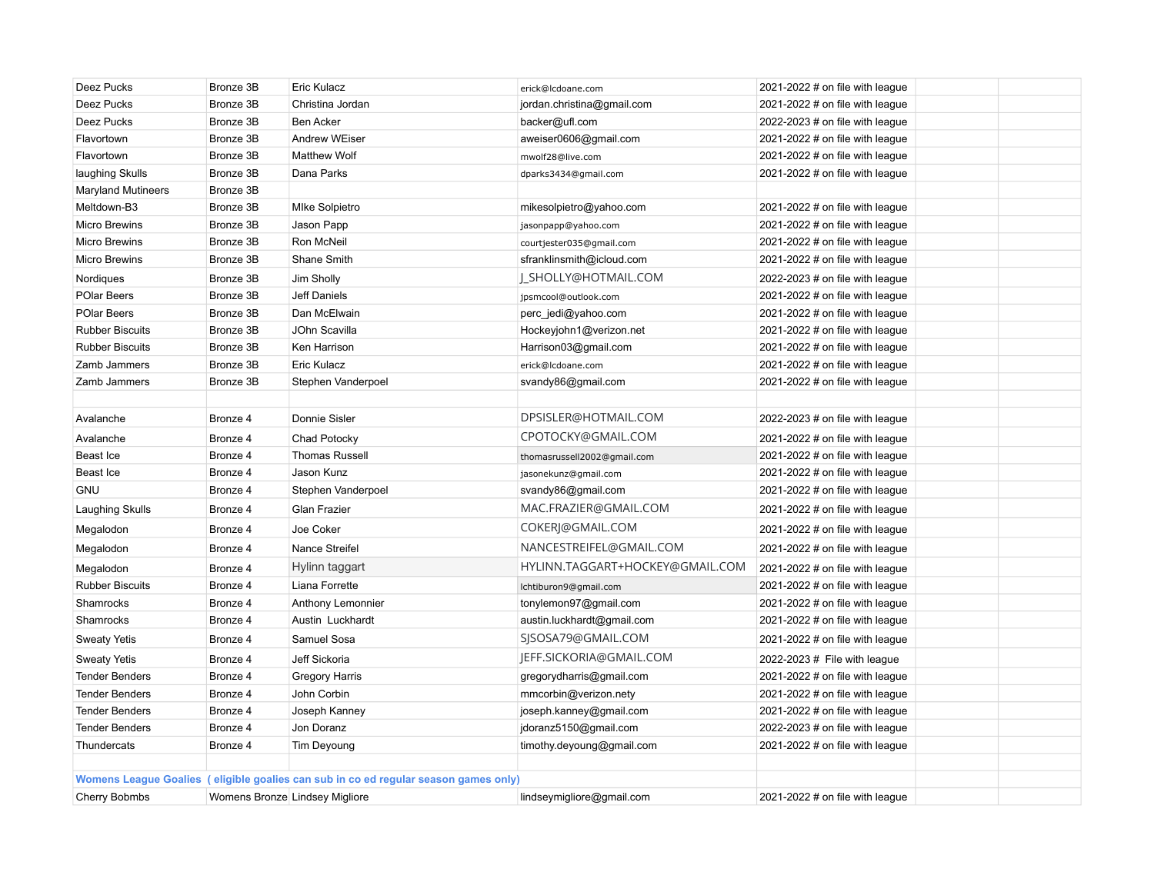| Deez Pucks                | Bronze 3B | Eric Kulacz                                                                         | erick@lcdoane.com               | 2021-2022 $\#$ on file with league |
|---------------------------|-----------|-------------------------------------------------------------------------------------|---------------------------------|------------------------------------|
| Deez Pucks                | Bronze 3B | Christina Jordan                                                                    | jordan.christina@gmail.com      | 2021-2022 $#$ on file with league  |
| Deez Pucks                | Bronze 3B | <b>Ben Acker</b>                                                                    | backer@ufl.com                  | 2022-2023 $#$ on file with league  |
| Flavortown                | Bronze 3B | <b>Andrew WEiser</b>                                                                | aweiser0606@gmail.com           | 2021-2022 # on file with league    |
| Flavortown                | Bronze 3B | <b>Matthew Wolf</b>                                                                 | mwolf28@live.com                | 2021-2022 # on file with league    |
| laughing Skulls           | Bronze 3B | Dana Parks                                                                          | dparks3434@gmail.com            | 2021-2022 # on file with league    |
| <b>Maryland Mutineers</b> | Bronze 3B |                                                                                     |                                 |                                    |
| Meltdown-B3               | Bronze 3B | <b>MIke Solpietro</b>                                                               | mikesolpietro@yahoo.com         | 2021-2022 # on file with league    |
| <b>Micro Brewins</b>      | Bronze 3B | Jason Papp                                                                          | jasonpapp@yahoo.com             | 2021-2022 # on file with league    |
| <b>Micro Brewins</b>      | Bronze 3B | Ron McNeil                                                                          | courtjester035@gmail.com        | 2021-2022 # on file with league    |
| <b>Micro Brewins</b>      | Bronze 3B | Shane Smith                                                                         | sfranklinsmith@icloud.com       | 2021-2022 $#$ on file with league  |
| Nordiques                 | Bronze 3B | Jim Sholly                                                                          | SHOLLY@HOTMAIL.COM              | 2022-2023 $#$ on file with league  |
| POlar Beers               | Bronze 3B | Jeff Daniels                                                                        | jpsmcool@outlook.com            | 2021-2022 # on file with league    |
| POlar Beers               | Bronze 3B | Dan McElwain                                                                        | perc_jedi@yahoo.com             | 2021-2022 $#$ on file with league  |
| <b>Rubber Biscuits</b>    | Bronze 3B | JOhn Scavilla                                                                       | Hockeyjohn1@verizon.net         | 2021-2022 # on file with league    |
| <b>Rubber Biscuits</b>    | Bronze 3B | Ken Harrison                                                                        | Harrison03@gmail.com            | 2021-2022 # on file with league    |
| Zamb Jammers              | Bronze 3B | Eric Kulacz                                                                         | erick@lcdoane.com               | 2021-2022 $#$ on file with league  |
| Zamb Jammers              | Bronze 3B | Stephen Vanderpoel                                                                  | svandy86@gmail.com              | 2021-2022 # on file with league    |
|                           |           |                                                                                     |                                 |                                    |
| Avalanche                 | Bronze 4  | Donnie Sisler                                                                       | DPSISLER@HOTMAIL.COM            | 2022-2023 $#$ on file with league  |
| Avalanche                 | Bronze 4  | Chad Potocky                                                                        | CPOTOCKY@GMAIL.COM              | 2021-2022 # on file with league    |
| Beast Ice                 | Bronze 4  | <b>Thomas Russell</b>                                                               | thomasrussell2002@gmail.com     | 2021-2022 # on file with league    |
| Beast Ice                 | Bronze 4  | Jason Kunz                                                                          | jasonekunz@gmail.com            | 2021-2022 $#$ on file with league  |
| <b>GNU</b>                | Bronze 4  | Stephen Vanderpoel                                                                  | svandy86@gmail.com              | 2021-2022 # on file with league    |
| Laughing Skulls           | Bronze 4  | Glan Frazier                                                                        | MAC.FRAZIER@GMAIL.COM           | 2021-2022 $#$ on file with league  |
| Megalodon                 | Bronze 4  | Joe Coker                                                                           | COKERJ@GMAIL.COM                | 2021-2022 # on file with league    |
| Megalodon                 | Bronze 4  | Nance Streifel                                                                      | NANCESTREIFEL@GMAIL.COM         | 2021-2022 # on file with league    |
| Megalodon                 | Bronze 4  | Hylinn taggart                                                                      | HYLINN.TAGGART+HOCKEY@GMAIL.COM | 2021-2022 $#$ on file with league  |
| <b>Rubber Biscuits</b>    | Bronze 4  | Liana Forrette                                                                      | lchtiburon9@gmail.com           | 2021-2022 # on file with league    |
| Shamrocks                 | Bronze 4  | Anthony Lemonnier                                                                   | tonylemon97@gmail.com           | 2021-2022 # on file with league    |
| Shamrocks                 | Bronze 4  | Austin Luckhardt                                                                    | austin.luckhardt@gmail.com      | 2021-2022 $#$ on file with league  |
| <b>Sweaty Yetis</b>       | Bronze 4  | Samuel Sosa                                                                         | SJSOSA79@GMAIL.COM              | 2021-2022 # on file with league    |
| <b>Sweaty Yetis</b>       | Bronze 4  | Jeff Sickoria                                                                       | JEFF.SICKORIA@GMAIL.COM         | 2022-2023 # File with league       |
| <b>Tender Benders</b>     | Bronze 4  | <b>Gregory Harris</b>                                                               | gregorydharris@gmail.com        | 2021-2022 $#$ on file with league  |
| <b>Tender Benders</b>     | Bronze 4  | John Corbin                                                                         | mmcorbin@verizon.nety           | 2021-2022 $#$ on file with league  |
| <b>Tender Benders</b>     | Bronze 4  | Joseph Kanney                                                                       | joseph.kanney@gmail.com         | 2021-2022 $#$ on file with league  |
| <b>Tender Benders</b>     | Bronze 4  | Jon Doranz                                                                          | jdoranz5150@gmail.com           | 2022-2023 $#$ on file with league  |
| Thundercats               | Bronze 4  | Tim Deyoung                                                                         | timothy.deyoung@gmail.com       | 2021-2022 # on file with league    |
|                           |           |                                                                                     |                                 |                                    |
|                           |           | Womens League Goalies (eligible goalies can sub in co ed regular season games only) |                                 |                                    |
| Cherry Bobmbs             |           | Womens Bronze Lindsey Migliore                                                      | lindseymigliore@gmail.com       | 2021-2022 # on file with league    |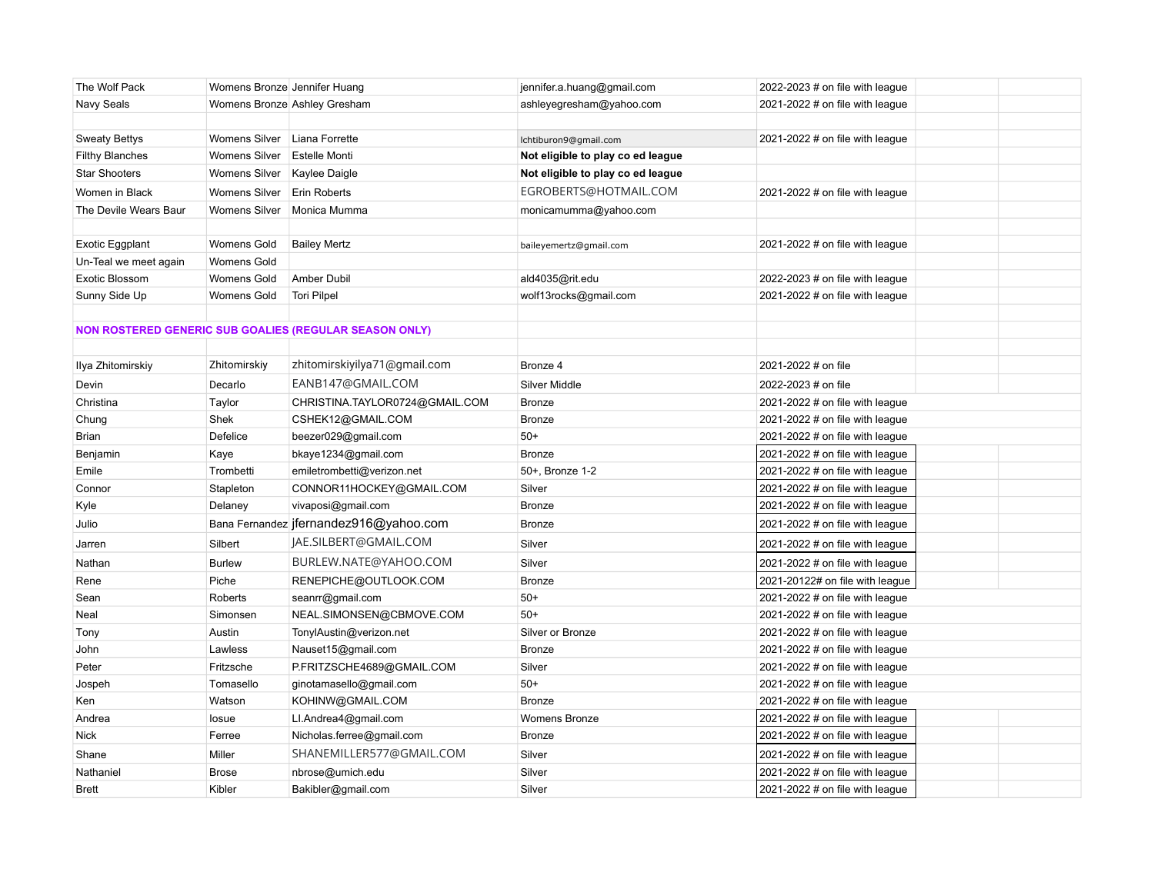| The Wolf Pack          | Womens Bronze Jennifer Huang |                                                               | jennifer.a.huang@gmail.com        | 2022-2023 $#$ on file with league |  |
|------------------------|------------------------------|---------------------------------------------------------------|-----------------------------------|-----------------------------------|--|
| Navy Seals             |                              | Womens Bronze Ashley Gresham                                  | ashleyegresham@yahoo.com          | 2021-2022 # on file with league   |  |
|                        |                              |                                                               |                                   |                                   |  |
| <b>Sweaty Bettys</b>   | Womens Silver Liana Forrette |                                                               | lchtiburon9@gmail.com             | 2021-2022 # on file with league   |  |
| <b>Filthy Blanches</b> | Womens Silver                | Estelle Monti                                                 | Not eligible to play co ed league |                                   |  |
| <b>Star Shooters</b>   | <b>Womens Silver</b>         | Kaylee Daigle                                                 | Not eligible to play co ed league |                                   |  |
| Women in Black         | <b>Womens Silver</b>         | Erin Roberts                                                  | EGROBERTS@HOTMAIL.COM             | 2021-2022 $#$ on file with league |  |
| The Devile Wears Baur  | Womens Silver                | Monica Mumma                                                  | monicamumma@yahoo.com             |                                   |  |
|                        |                              |                                                               |                                   |                                   |  |
| <b>Exotic Eggplant</b> | Womens Gold                  | <b>Bailey Mertz</b>                                           | baileyemertz@gmail.com            | 2021-2022 # on file with league   |  |
| Un-Teal we meet again  | Womens Gold                  |                                                               |                                   |                                   |  |
| Exotic Blossom         | Womens Gold                  | Amber Dubil                                                   | ald4035@rit.edu                   | 2022-2023 # on file with league   |  |
| Sunny Side Up          | Womens Gold                  | <b>Tori Pilpel</b>                                            | wolf13rocks@gmail.com             | 2021-2022 # on file with league   |  |
|                        |                              |                                                               |                                   |                                   |  |
|                        |                              | <b>NON ROSTERED GENERIC SUB GOALIES (REGULAR SEASON ONLY)</b> |                                   |                                   |  |
|                        |                              |                                                               |                                   |                                   |  |
| Ilya Zhitomirskiy      | Zhitomirskiy                 | zhitomirskiyilya71@gmail.com                                  | Bronze 4                          | 2021-2022 # on file               |  |
| Devin                  | Decarlo                      | EANB147@GMAIL.COM                                             | Silver Middle                     | 2022-2023 # on file               |  |
| Christina              | Taylor                       | CHRISTINA.TAYLOR0724@GMAIL.COM                                | <b>Bronze</b>                     | 2021-2022 # on file with league   |  |
| Chung                  | Shek                         | CSHEK12@GMAIL.COM                                             | <b>Bronze</b>                     | 2021-2022 $#$ on file with league |  |
| Brian                  | Defelice                     | beezer029@gmail.com                                           | $50+$                             | 2021-2022 # on file with league   |  |
| Benjamin               | Kaye                         | bkaye1234@gmail.com                                           | <b>Bronze</b>                     | 2021-2022 $#$ on file with league |  |
| Emile                  | Trombetti                    | emiletrombetti@verizon.net                                    | 50+, Bronze 1-2                   | 2021-2022 $#$ on file with league |  |
| Connor                 | Stapleton                    | CONNOR11HOCKEY@GMAIL.COM                                      | Silver                            | 2021-2022 $#$ on file with league |  |
| Kyle                   | Delaney                      | vivaposi@gmail.com                                            | <b>Bronze</b>                     | 2021-2022 $#$ on file with league |  |
| Julio                  |                              | Bana Fernandez jfernandez916@yahoo.com                        | <b>Bronze</b>                     | 2021-2022 # on file with league   |  |
| Jarren                 | Silbert                      | JAE.SILBERT@GMAIL.COM                                         | Silver                            | 2021-2022 $#$ on file with league |  |
| Nathan                 | <b>Burlew</b>                | BURLEW.NATE@YAHOO.COM                                         | Silver                            | 2021-2022 $#$ on file with league |  |
| Rene                   | Piche                        | RENEPICHE@OUTLOOK.COM                                         | <b>Bronze</b>                     | 2021-20122# on file with league   |  |
| Sean                   | Roberts                      | seanrr@gmail.com                                              | $50+$                             | 2021-2022 # on file with league   |  |
| Neal                   | Simonsen                     | NEAL.SIMONSEN@CBMOVE.COM                                      | $50+$                             | 2021-2022 $#$ on file with league |  |
| Tony                   | Austin                       | TonylAustin@verizon.net                                       | Silver or Bronze                  | 2021-2022 # on file with league   |  |
| John                   | Lawless                      | Nauset15@gmail.com                                            | <b>Bronze</b>                     | 2021-2022 # on file with league   |  |
| Peter                  | Fritzsche                    | P.FRITZSCHE4689@GMAIL.COM                                     | Silver                            | 2021-2022 # on file with league   |  |
| Jospeh                 | Tomasello                    | ginotamasello@gmail.com                                       | $50+$                             | 2021-2022 # on file with league   |  |
| Ken                    | Watson                       | KOHINW@GMAIL.COM                                              | <b>Bronze</b>                     | 2021-2022 # on file with league   |  |
| Andrea                 | losue                        | LI.Andrea4@gmail.com                                          | <b>Womens Bronze</b>              | 2021-2022 $#$ on file with league |  |
| <b>Nick</b>            | Ferree                       | Nicholas.ferree@gmail.com                                     | <b>Bronze</b>                     | 2021-2022 $#$ on file with league |  |
| Shane                  | Miller                       | SHANEMILLER577@GMAIL.COM                                      | Silver                            | 2021-2022 $#$ on file with league |  |
| Nathaniel              | <b>Brose</b>                 | nbrose@umich.edu                                              | Silver                            | 2021-2022 # on file with league   |  |
| <b>Brett</b>           | Kibler                       | Bakibler@gmail.com                                            | Silver                            | 2021-2022 $#$ on file with league |  |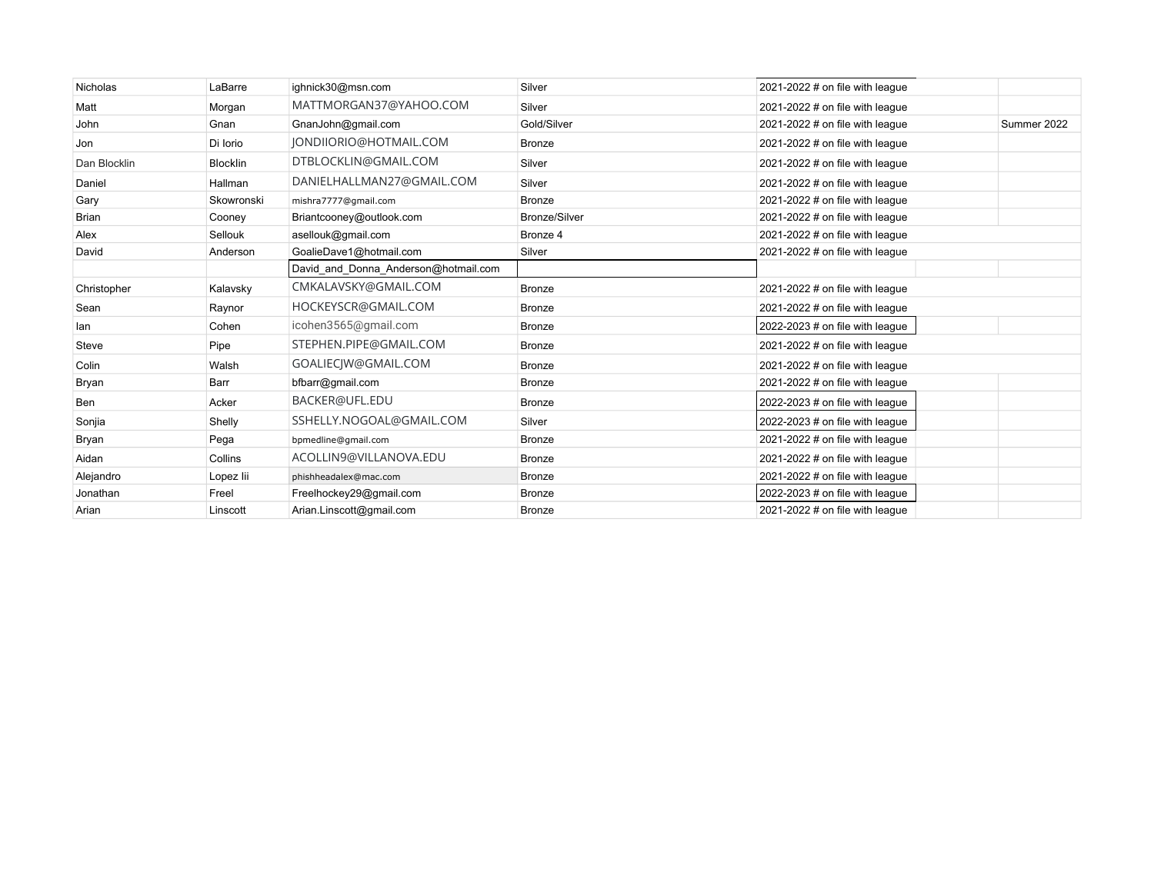| Nicholas     | LaBarre         | ighnick30@msn.com                    | Silver               | 2021-2022 # on file with league   |             |
|--------------|-----------------|--------------------------------------|----------------------|-----------------------------------|-------------|
| Matt         | Morgan          | MATTMORGAN37@YAHOO.COM               | Silver               | 2021-2022 $#$ on file with league |             |
| John         | Gnan            | GnanJohn@gmail.com                   | Gold/Silver          | 2021-2022 $#$ on file with league | Summer 2022 |
| Jon          | Di Iorio        | JONDIJORIO@HOTMAIL.COM               | Bronze               | 2021-2022 # on file with league   |             |
| Dan Blocklin | <b>Blocklin</b> | DTBLOCKLIN@GMAIL.COM                 | Silver               | 2021-2022 # on file with league   |             |
| Daniel       | Hallman         | DANIELHALLMAN27@GMAIL.COM            | Silver               | 2021-2022 # on file with league   |             |
| Gary         | Skowronski      | mishra7777@gmail.com                 | <b>Bronze</b>        | 2021-2022 # on file with league   |             |
| <b>Brian</b> | Cooney          | Briantcooney@outlook.com             | <b>Bronze/Silver</b> | 2021-2022 # on file with league   |             |
| Alex         | Sellouk         | asellouk@gmail.com                   | Bronze 4             | 2021-2022 $#$ on file with league |             |
| David        | Anderson        | GoalieDave1@hotmail.com              | Silver               | 2021-2022 $#$ on file with league |             |
|              |                 | David and Donna Anderson@hotmail.com |                      |                                   |             |
| Christopher  | Kalavsky        | CMKALAVSKY@GMAIL.COM                 | Bronze               | 2021-2022 # on file with league   |             |
| Sean         | Raynor          | HOCKEYSCR@GMAIL.COM                  | Bronze               | 2021-2022 # on file with league   |             |
| lan          | Cohen           | icohen3565@gmail.com                 | Bronze               | 2022-2023 $#$ on file with league |             |
| Steve        | Pipe            | STEPHEN.PIPE@GMAIL.COM               | <b>Bronze</b>        | 2021-2022 # on file with league   |             |
| Colin        | Walsh           | GOALIECIW@GMAIL.COM                  | <b>Bronze</b>        | 2021-2022 # on file with league   |             |
| Bryan        | Barr            | bfbarr@gmail.com                     | Bronze               | 2021-2022 # on file with league   |             |
| Ben          | Acker           | BACKER@UFL.EDU                       | Bronze               | 2022-2023 # on file with league   |             |
| Sonjia       | Shelly          | SSHELLY.NOGOAL@GMAIL.COM             | Silver               | 2022-2023 # on file with league   |             |
| Bryan        | Pega            | bpmedline@gmail.com                  | Bronze               | 2021-2022 $#$ on file with league |             |
| Aidan        | Collins         | ACOLLIN9@VILLANOVA.EDU               | <b>Bronze</b>        | 2021-2022 # on file with league   |             |
| Alejandro    | Lopez lii       | phishheadalex@mac.com                | Bronze               | 2021-2022 # on file with league   |             |
| Jonathan     | Freel           | Freelhockey29@gmail.com              | Bronze               | 2022-2023 $#$ on file with league |             |
| Arian        | Linscott        | Arian.Linscott@gmail.com             | Bronze               | 2021-2022 $#$ on file with league |             |